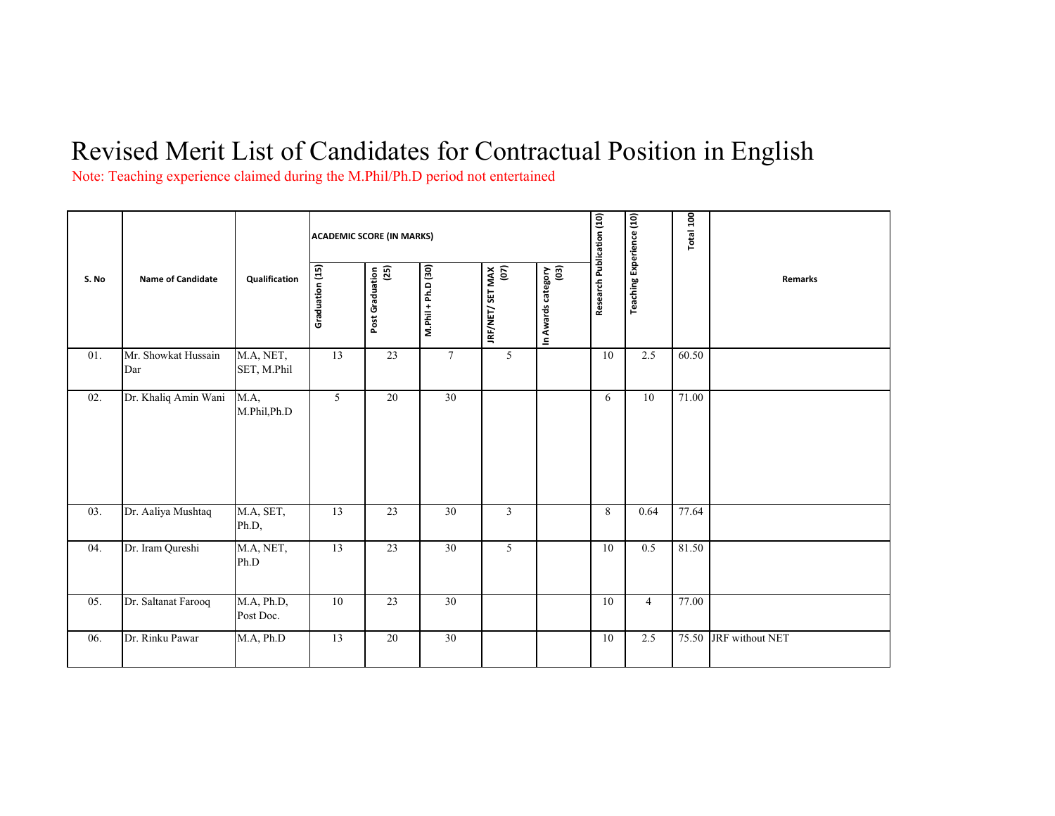## Revised Merit List of Candidates for Contractual Position in English

Note: Teaching experience claimed during the M.Phil/Ph.D period not entertained

| S. No | <b>Name of Candidate</b>   | Qualification                    | <b>ACADEMIC SCORE (IN MARKS)</b> |                         |                    |                          |                            |                           |                                 | Total 100 |                 |
|-------|----------------------------|----------------------------------|----------------------------------|-------------------------|--------------------|--------------------------|----------------------------|---------------------------|---------------------------------|-----------|-----------------|
|       |                            |                                  | Graduation (15)                  | (25)<br>Post Graduation | M.Phil + Ph.D (30) | IRF/NET/ SET MAX<br>(07) | In Awards category<br>(03) | Research Publication (10) | <b>Teaching Experience (10)</b> |           | Remarks         |
| 01.   | Mr. Showkat Hussain<br>Dar | M.A, NET,<br>SET, M.Phil         | 13                               | 23                      | $7\phantom{.0}$    | 5                        |                            | 10                        | 2.5                             | 60.50     |                 |
| 02.   | Dr. Khaliq Amin Wani       | $\overline{MA}$ ,<br>M.Phil,Ph.D | 5                                | 20                      | 30                 |                          |                            | 6                         | 10                              | 71.00     |                 |
| 03.   | Dr. Aaliya Mushtaq         | M.A, SET,<br>Ph.D,               | 13                               | 23                      | 30                 | $\mathfrak{Z}$           |                            | 8                         | 0.64                            | 77.64     |                 |
| 04.   | Dr. Iram Qureshi           | M.A, NET,<br>Ph.D                | 13                               | 23                      | 30                 | 5                        |                            | 10                        | 0.5                             | 81.50     |                 |
| 05.   | Dr. Saltanat Farooq        | M.A, Ph.D,<br>Post Doc.          | 10                               | 23                      | 30                 |                          |                            | 10                        | $\overline{4}$                  | 77.00     |                 |
| 06.   | Dr. Rinku Pawar            | M.A, Ph.D                        | 13                               | 20                      | 30                 |                          |                            | 10                        | 2.5                             | 75.50     | JRF without NET |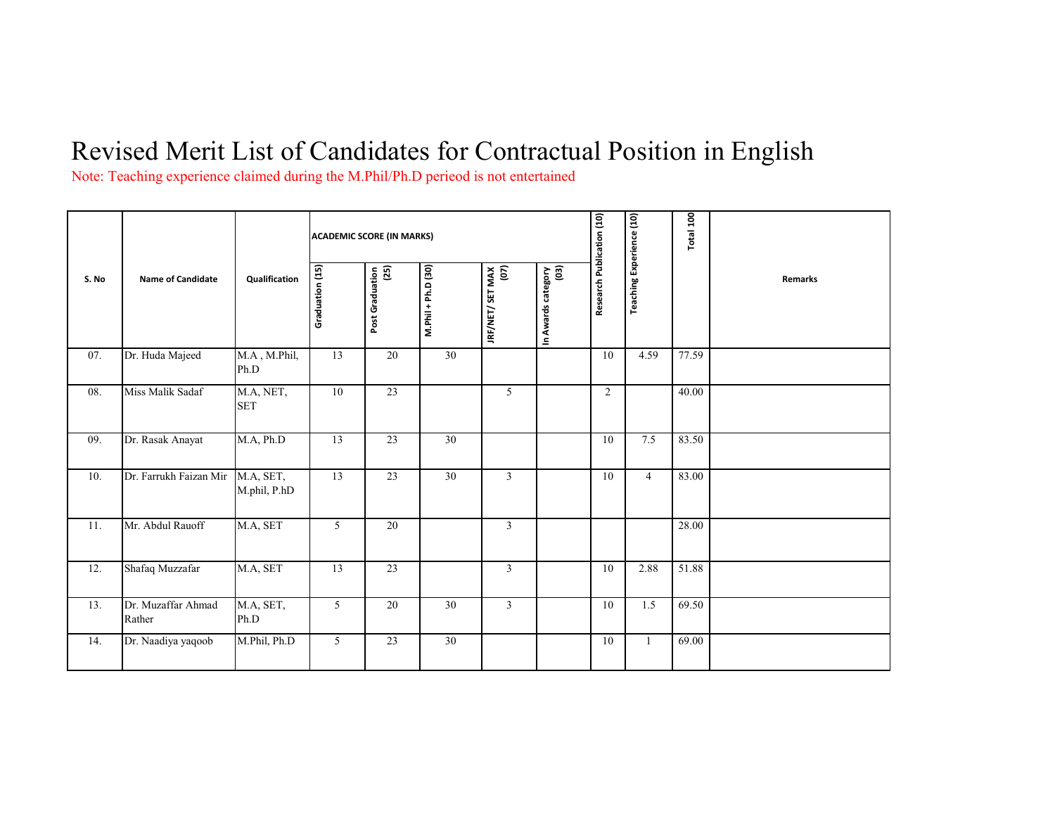## Revised Merit List of Candidates for Contractual Position in English

Note: Teaching experience claimed during the M.Phil/Ph.D perieod is not entertained

| S. No | <b>Name of Candidate</b>     | Qualification             | <b>ACADEMIC SCORE (IN MARKS)</b> |                         |                    |                          |                            |                           |                                 | Total 100 |                |
|-------|------------------------------|---------------------------|----------------------------------|-------------------------|--------------------|--------------------------|----------------------------|---------------------------|---------------------------------|-----------|----------------|
|       |                              |                           | Graduation (15)                  | (25)<br>Post Graduation | M.Phil + Ph.D (30) | JRF/NET/ SET MAX<br>(07) | In Awards category<br>(03) | Research Publication (10) | <b>Teaching Experience (10)</b> |           | <b>Remarks</b> |
| 07.   | Dr. Huda Majeed              | M.A, M.Phil,<br>Ph.D      | 13                               | 20                      | $\overline{30}$    |                          |                            | 10                        | 4.59                            | 77.59     |                |
| 08.   | Miss Malik Sadaf             | M.A, NET,<br><b>SET</b>   | 10                               | 23                      |                    | 5                        |                            | $\overline{2}$            |                                 | 40.00     |                |
| 09.   | Dr. Rasak Anayat             | M.A, Ph.D                 | 13                               | 23                      | 30                 |                          |                            | 10                        | 7.5                             | 83.50     |                |
| 10.   | Dr. Farrukh Faizan Mir       | M.A, SET,<br>M.phil, P.hD | 13                               | 23                      | 30                 | $\mathfrak{Z}$           |                            | 10                        | $\overline{4}$                  | 83.00     |                |
| 11.   | Mr. Abdul Rauoff             | M.A, SET                  | 5                                | 20                      |                    | $\mathfrak{Z}$           |                            |                           |                                 | 28.00     |                |
| 12.   | Shafaq Muzzafar              | M.A, SET                  | 13                               | 23                      |                    | $\mathfrak{Z}$           |                            | 10                        | 2.88                            | 51.88     |                |
| 13.   | Dr. Muzaffar Ahmad<br>Rather | M.A, SET,<br>Ph.D         | 5                                | 20                      | 30                 | $\mathfrak{Z}$           |                            | 10                        | 1.5                             | 69.50     |                |
| 14.   | Dr. Naadiya yaqoob           | M.Phil, Ph.D              | 5                                | 23                      | 30                 |                          |                            | 10                        | -1                              | 69.00     |                |